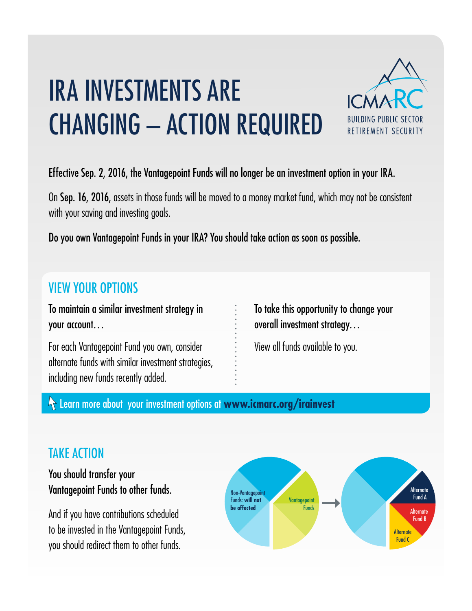# IRA INVESTMENTS ARE CHANGING – ACTION REQUIRED



#### Effective Sep. 2, 2016, the Vantagepoint Funds will no longer be an investment option in your IRA.

On Sep. 16, 2016, assets in those funds will be moved to a money market fund, which may not be consistent with your saving and investing goals.

Do you own Vantagepoint Funds in your IRA? You should take action as soon as possible.

## VIEW YOUR OPTIONS

To maintain a similar investment strategy in your account…

For each Vantagepoint Fund you own, consider alternate funds with similar investment strategies, including new funds recently added.

To take this opportunity to change your overall investment strategy…

View all funds available to you.

Learn more about your investment options at **www.icmarc.org/irainvest**

### TAKE ACTION

You should transfer your Vantagepoint Funds to other funds.

And if you have contributions scheduled to be invested in the Vantagepoint Funds, you should redirect them to other funds.